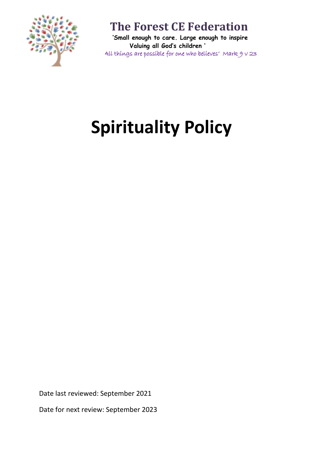

 **'Small enough to care. Large enough to inspire Valuing all God's children '** 'All things are possible for one who believes' Mark 9 v 23

# **Spirituality Policy**

Date last reviewed: September 2021

Date for next review: September 2023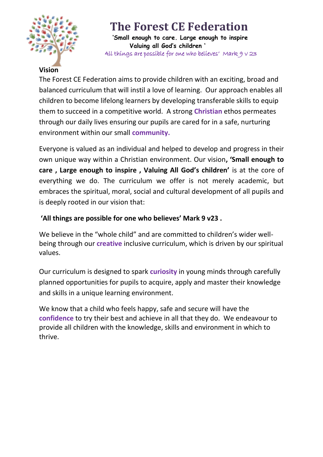

 **'Small enough to care. Large enough to inspire Valuing all God's children '** 'All things are possible for one who believes' Mark 9 v 23

#### **Vision**

The Forest CE Federation aims to provide children with an exciting, broad and balanced curriculum that will instil a love of learning. Our approach enables all children to become lifelong learners by developing transferable skills to equip them to succeed in a competitive world. A strong **Christian** ethos permeates through our daily lives ensuring our pupils are cared for in a safe, nurturing environment within our small **community.**

Everyone is valued as an individual and helped to develop and progress in their own unique way within a Christian environment. Our vision**, 'Small enough to care , Large enough to inspire , Valuing All God's children'** is at the core of everything we do. The curriculum we offer is not merely academic, but embraces the spiritual, moral, social and cultural development of all pupils and is deeply rooted in our vision that:

#### **'All things are possible for one who believes' Mark 9 v23 .**

We believe in the "whole child" and are committed to children's wider wellbeing through our **creative** inclusive curriculum, which is driven by our spiritual values.

Our curriculum is designed to spark **curiosity** in young minds through carefully planned opportunities for pupils to acquire, apply and master their knowledge and skills in a unique learning environment.

We know that a child who feels happy, safe and secure will have the **confidence** to try their best and achieve in all that they do. We endeavour to provide all children with the knowledge, skills and environment in which to thrive.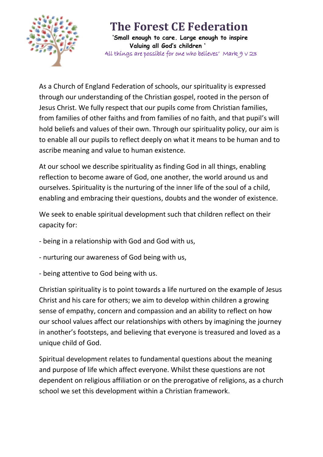

 **'Small enough to care. Large enough to inspire Valuing all God's children '** 'All things are possible for one who believes' Mark 9 v 23

As a Church of England Federation of schools, our spirituality is expressed through our understanding of the Christian gospel, rooted in the person of Jesus Christ. We fully respect that our pupils come from Christian families, from families of other faiths and from families of no faith, and that pupil's will hold beliefs and values of their own. Through our spirituality policy, our aim is to enable all our pupils to reflect deeply on what it means to be human and to ascribe meaning and value to human existence.

At our school we describe spirituality as finding God in all things, enabling reflection to become aware of God, one another, the world around us and ourselves. Spirituality is the nurturing of the inner life of the soul of a child, enabling and embracing their questions, doubts and the wonder of existence.

We seek to enable spiritual development such that children reflect on their capacity for:

- being in a relationship with God and God with us,
- nurturing our awareness of God being with us,
- being attentive to God being with us.

Christian spirituality is to point towards a life nurtured on the example of Jesus Christ and his care for others; we aim to develop within children a growing sense of empathy, concern and compassion and an ability to reflect on how our school values affect our relationships with others by imagining the journey in another's footsteps, and believing that everyone is treasured and loved as a unique child of God.

Spiritual development relates to fundamental questions about the meaning and purpose of life which affect everyone. Whilst these questions are not dependent on religious affiliation or on the prerogative of religions, as a church school we set this development within a Christian framework.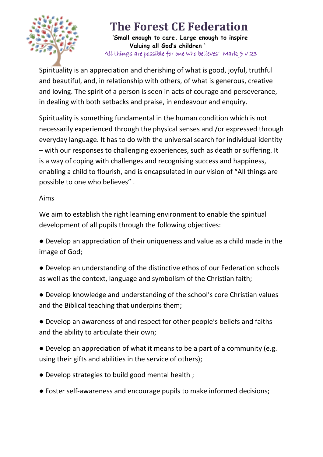

 **'Small enough to care. Large enough to inspire Valuing all God's children '** 'All things are possible for one who believes' Mark 9 v 23

Spirituality is an appreciation and cherishing of what is good, joyful, truthful and beautiful, and, in relationship with others, of what is generous, creative and loving. The spirit of a person is seen in acts of courage and perseverance, in dealing with both setbacks and praise, in endeavour and enquiry.

Spirituality is something fundamental in the human condition which is not necessarily experienced through the physical senses and /or expressed through everyday language. It has to do with the universal search for individual identity – with our responses to challenging experiences, such as death or suffering. It is a way of coping with challenges and recognising success and happiness, enabling a child to flourish, and is encapsulated in our vision of "All things are possible to one who believes" .

#### Aims

We aim to establish the right learning environment to enable the spiritual development of all pupils through the following objectives:

● Develop an appreciation of their uniqueness and value as a child made in the image of God;

- Develop an understanding of the distinctive ethos of our Federation schools as well as the context, language and symbolism of the Christian faith;
- Develop knowledge and understanding of the school's core Christian values and the Biblical teaching that underpins them;

● Develop an awareness of and respect for other people's beliefs and faiths and the ability to articulate their own;

● Develop an appreciation of what it means to be a part of a community (e.g. using their gifts and abilities in the service of others);

- Develop strategies to build good mental health ;
- Foster self-awareness and encourage pupils to make informed decisions;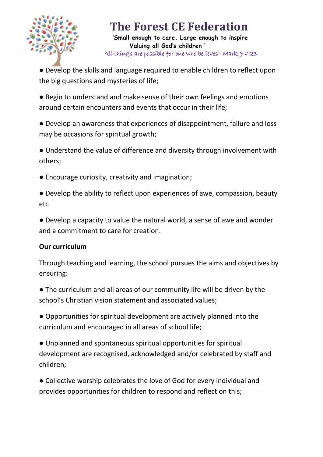

 **'Small enough to care. Large enough to inspire Valuing all God's children '** 'All things are possible for one who believes' Mark 9 v 23

● Develop the skills and language required to enable children to reflect upon the big questions and mysteries of life;

● Begin to understand and make sense of their own feelings and emotions around certain encounters and events that occur in their life;

● Develop an awareness that experiences of disappointment, failure and loss may be occasions for spiritual growth;

● Understand the value of difference and diversity through involvement with others;

- Encourage curiosity, creativity and imagination;
- Develop the ability to reflect upon experiences of awe, compassion, beauty etc
- Develop a capacity to value the natural world, a sense of awe and wonder and a commitment to care for creation.

### **Our curriculum**

Through teaching and learning, the school pursues the aims and objectives by ensuring:

● The curriculum and all areas of our community life will be driven by the school's Christian vision statement and associated values;

● Opportunities for spiritual development are actively planned into the curriculum and encouraged in all areas of school life;

● Unplanned and spontaneous spiritual opportunities for spiritual development are recognised, acknowledged and/or celebrated by staff and children;

● Collective worship celebrates the love of God for every individual and provides opportunities for children to respond and reflect on this;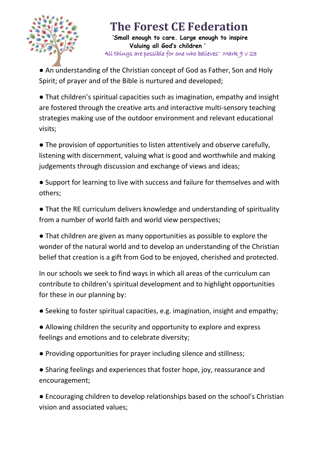

 **'Small enough to care. Large enough to inspire Valuing all God's children '** 'All things are possible for one who believes' Mark 9 v 23

● An understanding of the Christian concept of God as Father, Son and Holy Spirit; of prayer and of the Bible is nurtured and developed;

● That children's spiritual capacities such as imagination, empathy and insight are fostered through the creative arts and interactive multi-sensory teaching strategies making use of the outdoor environment and relevant educational visits;

• The provision of opportunities to listen attentively and observe carefully, listening with discernment, valuing what is good and worthwhile and making judgements through discussion and exchange of views and ideas;

● Support for learning to live with success and failure for themselves and with others;

● That the RE curriculum delivers knowledge and understanding of spirituality from a number of world faith and world view perspectives;

● That children are given as many opportunities as possible to explore the wonder of the natural world and to develop an understanding of the Christian belief that creation is a gift from God to be enjoyed, cherished and protected.

In our schools we seek to find ways in which all areas of the curriculum can contribute to children's spiritual development and to highlight opportunities for these in our planning by:

● Seeking to foster spiritual capacities, e.g. imagination, insight and empathy;

● Allowing children the security and opportunity to explore and express feelings and emotions and to celebrate diversity;

● Providing opportunities for prayer including silence and stillness;

● Sharing feelings and experiences that foster hope, joy, reassurance and encouragement;

● Encouraging children to develop relationships based on the school's Christian vision and associated values;